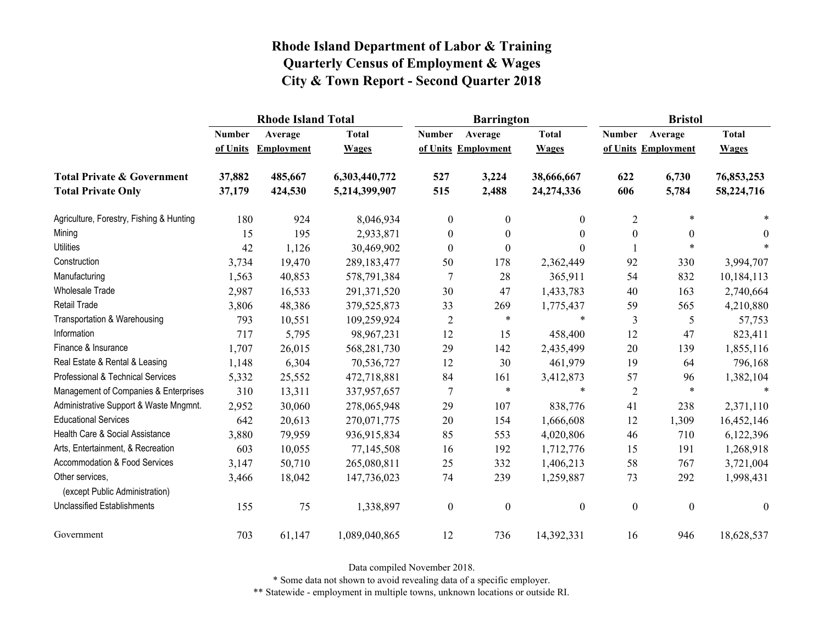|                                                   |               | <b>Rhode Island Total</b> |               |                  | <b>Barrington</b>   |                  | <b>Bristol</b>   |                     |                  |
|---------------------------------------------------|---------------|---------------------------|---------------|------------------|---------------------|------------------|------------------|---------------------|------------------|
|                                                   | <b>Number</b> | Average                   | <b>Total</b>  | <b>Number</b>    | Average             | <b>Total</b>     | <b>Number</b>    | Average             | <b>Total</b>     |
|                                                   | of Units      | <b>Employment</b>         | <b>Wages</b>  |                  | of Units Employment | <b>Wages</b>     |                  | of Units Employment | <b>Wages</b>     |
| <b>Total Private &amp; Government</b>             | 37,882        | 485,667                   | 6,303,440,772 | 527              | 3,224               | 38,666,667       | 622              | 6,730               | 76,853,253       |
| <b>Total Private Only</b>                         | 37,179        | 424,530                   | 5,214,399,907 | 515              | 2,488               | 24,274,336       | 606              | 5,784               | 58,224,716       |
| Agriculture, Forestry, Fishing & Hunting          | 180           | 924                       | 8,046,934     | $\boldsymbol{0}$ | $\boldsymbol{0}$    | $\mathbf{0}$     | $\overline{2}$   | $\ast$              |                  |
| Mining                                            | 15            | 195                       | 2,933,871     | $\boldsymbol{0}$ | $\theta$            | $\theta$         | $\boldsymbol{0}$ | $\boldsymbol{0}$    | $\theta$         |
| <b>Utilities</b>                                  | 42            | 1,126                     | 30,469,902    | $\boldsymbol{0}$ | $\boldsymbol{0}$    | $\theta$         |                  | $\ast$              |                  |
| Construction                                      | 3,734         | 19,470                    | 289, 183, 477 | 50               | 178                 | 2,362,449        | 92               | 330                 | 3,994,707        |
| Manufacturing                                     | 1,563         | 40,853                    | 578,791,384   | 7                | 28                  | 365,911          | 54               | 832                 | 10,184,113       |
| <b>Wholesale Trade</b>                            | 2,987         | 16,533                    | 291,371,520   | 30               | 47                  | 1,433,783        | 40               | 163                 | 2,740,664        |
| <b>Retail Trade</b>                               | 3,806         | 48,386                    | 379,525,873   | 33               | 269                 | 1,775,437        | 59               | 565                 | 4,210,880        |
| Transportation & Warehousing                      | 793           | 10,551                    | 109,259,924   | $\overline{2}$   | $\ast$              | $\ast$           | 3                | 5                   | 57,753           |
| Information                                       | 717           | 5,795                     | 98,967,231    | 12               | 15                  | 458,400          | 12               | 47                  | 823,411          |
| Finance & Insurance                               | 1,707         | 26,015                    | 568,281,730   | 29               | 142                 | 2,435,499        | 20               | 139                 | 1,855,116        |
| Real Estate & Rental & Leasing                    | 1,148         | 6,304                     | 70,536,727    | 12               | 30                  | 461,979          | 19               | 64                  | 796,168          |
| Professional & Technical Services                 | 5,332         | 25,552                    | 472,718,881   | 84               | 161                 | 3,412,873        | 57               | 96                  | 1,382,104        |
| Management of Companies & Enterprises             | 310           | 13,311                    | 337,957,657   | 7                | $\ast$              | $\ast$           | $\overline{2}$   | $\ast$              | $\ast$           |
| Administrative Support & Waste Mngmnt.            | 2,952         | 30,060                    | 278,065,948   | 29               | 107                 | 838,776          | 41               | 238                 | 2,371,110        |
| <b>Educational Services</b>                       | 642           | 20,613                    | 270,071,775   | 20               | 154                 | 1,666,608        | 12               | 1,309               | 16,452,146       |
| Health Care & Social Assistance                   | 3,880         | 79,959                    | 936,915,834   | 85               | 553                 | 4,020,806        | 46               | 710                 | 6,122,396        |
| Arts, Entertainment, & Recreation                 | 603           | 10,055                    | 77,145,508    | 16               | 192                 | 1,712,776        | 15               | 191                 | 1,268,918        |
| Accommodation & Food Services                     | 3,147         | 50,710                    | 265,080,811   | 25               | 332                 | 1,406,213        | 58               | 767                 | 3,721,004        |
| Other services,<br>(except Public Administration) | 3,466         | 18,042                    | 147,736,023   | 74               | 239                 | 1,259,887        | 73               | 292                 | 1,998,431        |
| <b>Unclassified Establishments</b>                | 155           | 75                        | 1,338,897     | $\boldsymbol{0}$ | $\boldsymbol{0}$    | $\boldsymbol{0}$ | $\boldsymbol{0}$ | $\boldsymbol{0}$    | $\boldsymbol{0}$ |
| Government                                        | 703           | 61,147                    | 1,089,040,865 | 12               | 736                 | 14,392,331       | 16               | 946                 | 18,628,537       |

Data compiled November 2018.

\* Some data not shown to avoid revealing data of a specific employer.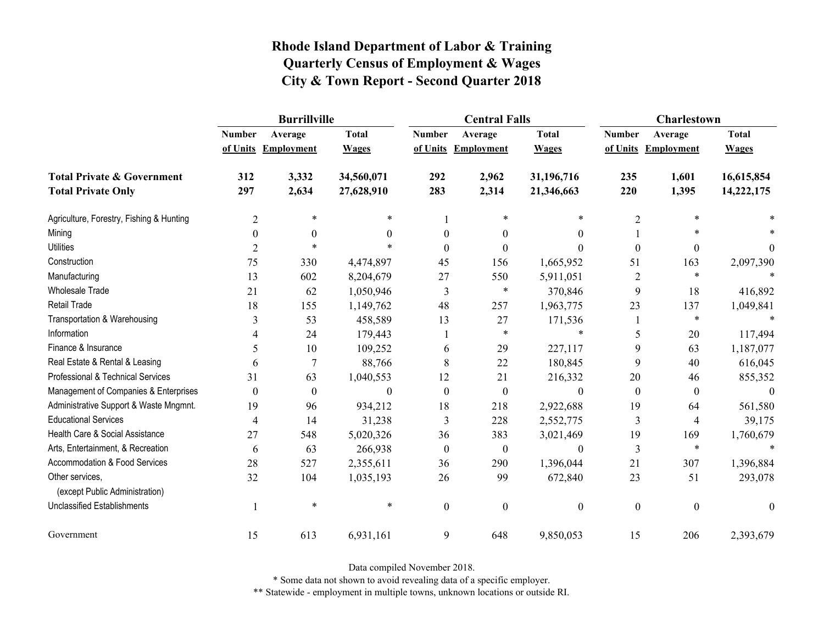|                                                   | <b>Burrillville</b> |                     |              |                  | <b>Central Falls</b> |                  | Charlestown      |                     |              |
|---------------------------------------------------|---------------------|---------------------|--------------|------------------|----------------------|------------------|------------------|---------------------|--------------|
|                                                   | <b>Number</b>       | Average             | <b>Total</b> | <b>Number</b>    | Average              | <b>Total</b>     | <b>Number</b>    | Average             | <b>Total</b> |
|                                                   |                     | of Units Employment | <b>Wages</b> |                  | of Units Employment  | <b>Wages</b>     |                  | of Units Employment | <b>Wages</b> |
| <b>Total Private &amp; Government</b>             | 312                 | 3,332               | 34,560,071   | 292              | 2,962                | 31,196,716       | 235              | 1,601               | 16,615,854   |
| <b>Total Private Only</b>                         | 297                 | 2,634               | 27,628,910   | 283              | 2,314                | 21,346,663       | 220              | 1,395               | 14,222,175   |
| Agriculture, Forestry, Fishing & Hunting          | $\overline{2}$      | *                   | *            |                  |                      | $\ast$           | $\overline{2}$   |                     |              |
| Mining                                            | $\theta$            | $\theta$            | $\theta$     | $\theta$         | $\theta$             | $\theta$         |                  |                     |              |
| <b>Utilities</b>                                  | $\overline{2}$      | $\ast$              | $\ast$       | $\Omega$         | $\Omega$             | $\theta$         | $\boldsymbol{0}$ | $\boldsymbol{0}$    | $\theta$     |
| Construction                                      | 75                  | 330                 | 4,474,897    | 45               | 156                  | 1,665,952        | 51               | 163                 | 2,097,390    |
| Manufacturing                                     | 13                  | 602                 | 8,204,679    | 27               | 550                  | 5,911,051        | $\overline{2}$   | $\ast$              |              |
| <b>Wholesale Trade</b>                            | 21                  | 62                  | 1,050,946    | 3                | $\ast$               | 370,846          | 9                | 18                  | 416,892      |
| Retail Trade                                      | 18                  | 155                 | 1,149,762    | 48               | 257                  | 1,963,775        | 23               | 137                 | 1,049,841    |
| Transportation & Warehousing                      | 3                   | 53                  | 458,589      | 13               | 27                   | 171,536          |                  | $\ast$              |              |
| Information                                       | 4                   | 24                  | 179,443      |                  | $\ast$               | $\ast$           | 5                | 20                  | 117,494      |
| Finance & Insurance                               | 5                   | 10                  | 109,252      | 6                | 29                   | 227,117          | 9                | 63                  | 1,187,077    |
| Real Estate & Rental & Leasing                    | 6                   | 7                   | 88,766       | 8                | 22                   | 180,845          | 9                | 40                  | 616,045      |
| Professional & Technical Services                 | 31                  | 63                  | 1,040,553    | 12               | 21                   | 216,332          | 20               | 46                  | 855,352      |
| Management of Companies & Enterprises             | $\boldsymbol{0}$    | $\boldsymbol{0}$    | $\theta$     | $\boldsymbol{0}$ | $\boldsymbol{0}$     | $\boldsymbol{0}$ | $\boldsymbol{0}$ | $\boldsymbol{0}$    | $\Omega$     |
| Administrative Support & Waste Mngmnt.            | 19                  | 96                  | 934,212      | 18               | 218                  | 2,922,688        | 19               | 64                  | 561,580      |
| <b>Educational Services</b>                       | 4                   | 14                  | 31,238       | 3                | 228                  | 2,552,775        | 3                | 4                   | 39,175       |
| Health Care & Social Assistance                   | 27                  | 548                 | 5,020,326    | 36               | 383                  | 3,021,469        | 19               | 169                 | 1,760,679    |
| Arts, Entertainment, & Recreation                 | 6                   | 63                  | 266,938      | $\boldsymbol{0}$ | $\mathbf{0}$         | $\boldsymbol{0}$ | 3                | $\ast$              | $\ast$       |
| Accommodation & Food Services                     | 28                  | 527                 | 2,355,611    | 36               | 290                  | 1,396,044        | 21               | 307                 | 1,396,884    |
| Other services,<br>(except Public Administration) | 32                  | 104                 | 1,035,193    | 26               | 99                   | 672,840          | 23               | 51                  | 293,078      |
| <b>Unclassified Establishments</b>                | 1                   | $\ast$              | $\ast$       | $\mathbf{0}$     | $\mathbf{0}$         | $\boldsymbol{0}$ | $\boldsymbol{0}$ | $\boldsymbol{0}$    | $\mathbf{0}$ |
| Government                                        | 15                  | 613                 | 6,931,161    | 9                | 648                  | 9,850,053        | 15               | 206                 | 2,393,679    |

Data compiled November 2018.

\* Some data not shown to avoid revealing data of a specific employer.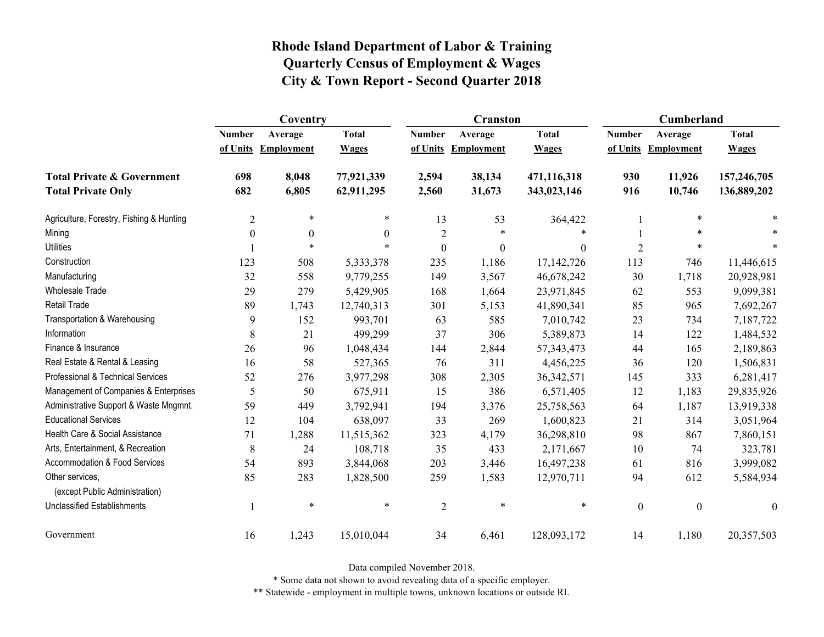|                                                   | Coventry       |                   |              |                  | <b>Cranston</b>     |                  | Cumberland       |                     |                  |
|---------------------------------------------------|----------------|-------------------|--------------|------------------|---------------------|------------------|------------------|---------------------|------------------|
|                                                   | <b>Number</b>  | Average           | <b>Total</b> | <b>Number</b>    | Average             | <b>Total</b>     | <b>Number</b>    | Average             | <b>Total</b>     |
|                                                   | of Units       | <b>Employment</b> | <b>Wages</b> |                  | of Units Employment | <b>Wages</b>     |                  | of Units Employment | <b>Wages</b>     |
| <b>Total Private &amp; Government</b>             | 698            | 8,048             | 77,921,339   | 2,594            | 38,134              | 471,116,318      | 930              | 11,926              | 157,246,705      |
| <b>Total Private Only</b>                         | 682            | 6,805             | 62,911,295   | 2,560            | 31,673              | 343,023,146      | 916              | 10,746              | 136,889,202      |
| Agriculture, Forestry, Fishing & Hunting          | $\overline{2}$ | $\ast$            | $\ast$       | 13               | 53                  | 364,422          |                  | $\ast$              |                  |
| Mining                                            | $\theta$       | $\theta$          | $\theta$     | $\overline{2}$   | *                   | $\ast$           |                  | *                   |                  |
| <b>Utilities</b>                                  |                | $\ast$            | $\ast$       | $\boldsymbol{0}$ | $\boldsymbol{0}$    | $\boldsymbol{0}$ | $\overline{2}$   | $\ast$              |                  |
| Construction                                      | 123            | 508               | 5,333,378    | 235              | 1,186               | 17, 142, 726     | 113              | 746                 | 11,446,615       |
| Manufacturing                                     | 32             | 558               | 9,779,255    | 149              | 3,567               | 46,678,242       | 30               | 1,718               | 20,928,981       |
| <b>Wholesale Trade</b>                            | 29             | 279               | 5,429,905    | 168              | 1,664               | 23,971,845       | 62               | 553                 | 9,099,381        |
| Retail Trade                                      | 89             | 1,743             | 12,740,313   | 301              | 5,153               | 41,890,341       | 85               | 965                 | 7,692,267        |
| Transportation & Warehousing                      | 9              | 152               | 993,701      | 63               | 585                 | 7,010,742        | 23               | 734                 | 7,187,722        |
| Information                                       | 8              | 21                | 499,299      | 37               | 306                 | 5,389,873        | 14               | 122                 | 1,484,532        |
| Finance & Insurance                               | 26             | 96                | 1,048,434    | 144              | 2,844               | 57, 343, 473     | 44               | 165                 | 2,189,863        |
| Real Estate & Rental & Leasing                    | 16             | 58                | 527,365      | 76               | 311                 | 4,456,225        | 36               | 120                 | 1,506,831        |
| Professional & Technical Services                 | 52             | 276               | 3,977,298    | 308              | 2,305               | 36, 342, 571     | 145              | 333                 | 6,281,417        |
| Management of Companies & Enterprises             | 5              | 50                | 675,911      | 15               | 386                 | 6,571,405        | 12               | 1,183               | 29,835,926       |
| Administrative Support & Waste Mngmnt.            | 59             | 449               | 3,792,941    | 194              | 3,376               | 25,758,563       | 64               | 1,187               | 13,919,338       |
| <b>Educational Services</b>                       | 12             | 104               | 638,097      | 33               | 269                 | 1,600,823        | 21               | 314                 | 3,051,964        |
| Health Care & Social Assistance                   | 71             | 1,288             | 11,515,362   | 323              | 4,179               | 36,298,810       | 98               | 867                 | 7,860,151        |
| Arts, Entertainment, & Recreation                 | 8              | 24                | 108,718      | 35               | 433                 | 2,171,667        | 10               | 74                  | 323,781          |
| Accommodation & Food Services                     | 54             | 893               | 3,844,068    | 203              | 3,446               | 16,497,238       | 61               | 816                 | 3,999,082        |
| Other services.<br>(except Public Administration) | 85             | 283               | 1,828,500    | 259              | 1,583               | 12,970,711       | 94               | 612                 | 5,584,934        |
| <b>Unclassified Establishments</b>                |                | $\ast$            | $\ast$       | $\overline{2}$   | $\ast$              | $\ast$           | $\boldsymbol{0}$ | $\boldsymbol{0}$    | $\boldsymbol{0}$ |
| Government                                        | 16             | 1,243             | 15,010,044   | 34               | 6,461               | 128,093,172      | 14               | 1,180               | 20,357,503       |

Data compiled November 2018.

\* Some data not shown to avoid revealing data of a specific employer.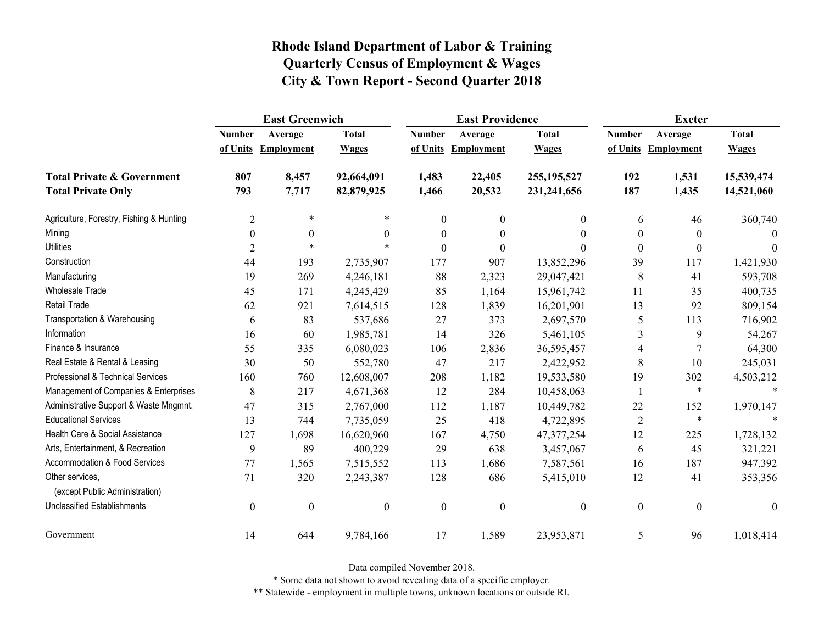|                                                   | <b>East Greenwich</b> |                     |                  |                  | <b>East Providence</b> |                  | <b>Exeter</b>    |                     |              |
|---------------------------------------------------|-----------------------|---------------------|------------------|------------------|------------------------|------------------|------------------|---------------------|--------------|
|                                                   | <b>Number</b>         | Average             | <b>Total</b>     | <b>Number</b>    | Average                | <b>Total</b>     | <b>Number</b>    | Average             | <b>Total</b> |
|                                                   |                       | of Units Employment | <b>Wages</b>     |                  | of Units Employment    | <b>Wages</b>     |                  | of Units Employment | <b>Wages</b> |
| <b>Total Private &amp; Government</b>             | 807                   | 8,457               | 92,664,091       | 1,483            | 22,405                 | 255, 195, 527    | 192              | 1,531               | 15,539,474   |
| <b>Total Private Only</b>                         | 793                   | 7,717               | 82,879,925       | 1,466            | 20,532                 | 231,241,656      | 187              | 1,435               | 14,521,060   |
| Agriculture, Forestry, Fishing & Hunting          | $\overline{2}$        | $\ast$              | $\ast$           | $\mathbf{0}$     | $\boldsymbol{0}$       | 0                | 6                | 46                  | 360,740      |
| Mining                                            | $\boldsymbol{0}$      | $\boldsymbol{0}$    | $\theta$         | $\boldsymbol{0}$ | $\boldsymbol{0}$       | $\theta$         | $\boldsymbol{0}$ | $\theta$            | $\Omega$     |
| <b>Utilities</b>                                  | $\overline{2}$        | $\ast$              |                  | $\theta$         | $\theta$               | 0                | $\boldsymbol{0}$ | $\theta$            | $\theta$     |
| Construction                                      | 44                    | 193                 | 2,735,907        | 177              | 907                    | 13,852,296       | 39               | 117                 | 1,421,930    |
| Manufacturing                                     | 19                    | 269                 | 4,246,181        | 88               | 2,323                  | 29,047,421       | 8                | 41                  | 593,708      |
| <b>Wholesale Trade</b>                            | 45                    | 171                 | 4,245,429        | 85               | 1,164                  | 15,961,742       | 11               | 35                  | 400,735      |
| <b>Retail Trade</b>                               | 62                    | 921                 | 7,614,515        | 128              | 1,839                  | 16,201,901       | 13               | 92                  | 809,154      |
| Transportation & Warehousing                      | 6                     | 83                  | 537,686          | 27               | 373                    | 2,697,570        | 5                | 113                 | 716,902      |
| Information                                       | 16                    | 60                  | 1,985,781        | 14               | 326                    | 5,461,105        | 3                | 9                   | 54,267       |
| Finance & Insurance                               | 55                    | 335                 | 6,080,023        | 106              | 2,836                  | 36,595,457       | 4                | 7                   | 64,300       |
| Real Estate & Rental & Leasing                    | 30                    | 50                  | 552,780          | 47               | 217                    | 2,422,952        | 8                | 10                  | 245,031      |
| Professional & Technical Services                 | 160                   | 760                 | 12,608,007       | 208              | 1,182                  | 19,533,580       | 19               | 302                 | 4,503,212    |
| Management of Companies & Enterprises             | 8                     | 217                 | 4,671,368        | 12               | 284                    | 10,458,063       |                  | $\ast$              | $\ast$       |
| Administrative Support & Waste Mngmnt.            | 47                    | 315                 | 2,767,000        | 112              | 1,187                  | 10,449,782       | 22               | 152                 | 1,970,147    |
| <b>Educational Services</b>                       | 13                    | 744                 | 7,735,059        | 25               | 418                    | 4,722,895        | $\overline{2}$   | $\ast$              |              |
| Health Care & Social Assistance                   | 127                   | 1,698               | 16,620,960       | 167              | 4,750                  | 47, 377, 254     | 12               | 225                 | 1,728,132    |
| Arts, Entertainment, & Recreation                 | 9                     | 89                  | 400,229          | 29               | 638                    | 3,457,067        | 6                | 45                  | 321,221      |
| <b>Accommodation &amp; Food Services</b>          | 77                    | 1,565               | 7,515,552        | 113              | 1,686                  | 7,587,561        | 16               | 187                 | 947,392      |
| Other services,<br>(except Public Administration) | 71                    | 320                 | 2,243,387        | 128              | 686                    | 5,415,010        | 12               | 41                  | 353,356      |
| <b>Unclassified Establishments</b>                | $\boldsymbol{0}$      | $\boldsymbol{0}$    | $\boldsymbol{0}$ | $\boldsymbol{0}$ | $\boldsymbol{0}$       | $\boldsymbol{0}$ | $\boldsymbol{0}$ | $\boldsymbol{0}$    | $\theta$     |
| Government                                        | 14                    | 644                 | 9,784,166        | 17               | 1,589                  | 23,953,871       | 5                | 96                  | 1,018,414    |

Data compiled November 2018.

\* Some data not shown to avoid revealing data of a specific employer.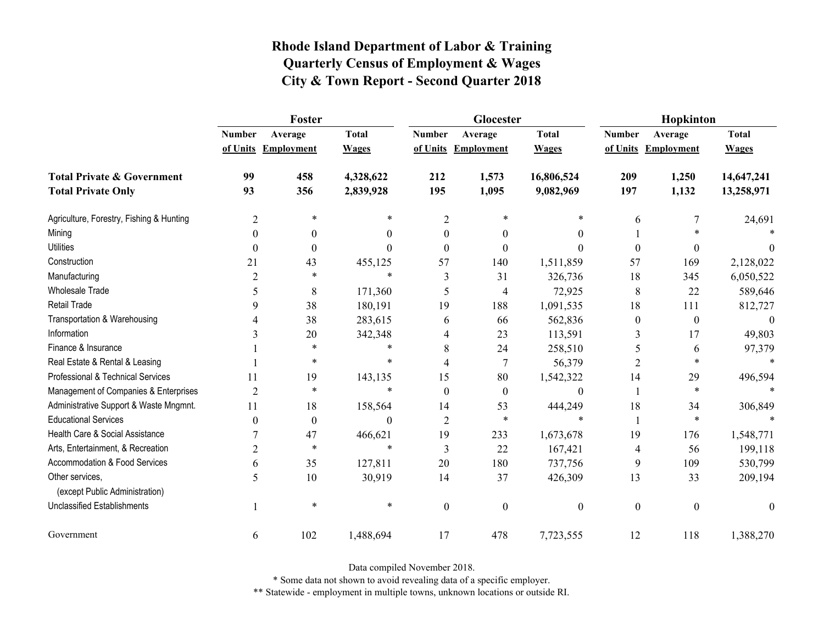|                                                   | Foster         |                     |              |                  | Glocester                |                  | Hopkinton        |                     |              |  |
|---------------------------------------------------|----------------|---------------------|--------------|------------------|--------------------------|------------------|------------------|---------------------|--------------|--|
|                                                   | <b>Number</b>  | Average             | <b>Total</b> | <b>Number</b>    | Average                  | <b>Total</b>     | <b>Number</b>    | Average             | <b>Total</b> |  |
|                                                   |                | of Units Employment | <b>Wages</b> |                  | of Units Employment      | <b>Wages</b>     |                  | of Units Employment | <b>Wages</b> |  |
| <b>Total Private &amp; Government</b>             | 99             | 458                 | 4,328,622    | 212              | 1,573                    | 16,806,524       | 209              | 1,250               | 14,647,241   |  |
| <b>Total Private Only</b>                         | 93             | 356                 | 2,839,928    | 195              | 1,095                    | 9,082,969        | 197              | 1,132               | 13,258,971   |  |
| Agriculture, Forestry, Fishing & Hunting          | 2              | *                   | *            | $\overline{2}$   | 米                        | *                | 6                | 7                   | 24,691       |  |
| Mining                                            | $\theta$       | $\theta$            | 0            | $\theta$         | $\theta$                 | $\theta$         |                  |                     |              |  |
| <b>Utilities</b>                                  | $\theta$       | $\boldsymbol{0}$    | $\Omega$     | $\Omega$         | $\theta$                 | $\theta$         | $\boldsymbol{0}$ | 0                   | $\theta$     |  |
| Construction                                      | 21             | 43                  | 455,125      | 57               | 140                      | 1,511,859        | 57               | 169                 | 2,128,022    |  |
| Manufacturing                                     | $\overline{2}$ | *                   | $\ast$       | 3                | 31                       | 326,736          | 18               | 345                 | 6,050,522    |  |
| <b>Wholesale Trade</b>                            | 5              | 8                   | 171,360      | 5                | $\overline{\mathcal{A}}$ | 72,925           | 8                | 22                  | 589,646      |  |
| Retail Trade                                      | 9              | 38                  | 180,191      | 19               | 188                      | 1,091,535        | 18               | 111                 | 812,727      |  |
| Transportation & Warehousing                      |                | 38                  | 283,615      | 6                | 66                       | 562,836          | $\boldsymbol{0}$ | $\boldsymbol{0}$    | $\theta$     |  |
| Information                                       | 3              | 20                  | 342,348      | 4                | 23                       | 113,591          | 3                | 17                  | 49,803       |  |
| Finance & Insurance                               |                | $\ast$              | $\ast$       | 8                | 24                       | 258,510          | 5                | 6                   | 97,379       |  |
| Real Estate & Rental & Leasing                    |                | $\ast$              | *            | 4                | 7                        | 56,379           | 2                | $\ast$              |              |  |
| Professional & Technical Services                 | 11             | 19                  | 143,135      | 15               | 80                       | 1,542,322        | 14               | 29                  | 496,594      |  |
| Management of Companies & Enterprises             | $\overline{2}$ | $\ast$              | $\ast$       | $\theta$         | $\boldsymbol{0}$         | $\mathbf{0}$     |                  | $\ast$              |              |  |
| Administrative Support & Waste Mngmnt.            | 11             | 18                  | 158,564      | 14               | 53                       | 444,249          | 18               | 34                  | 306,849      |  |
| <b>Educational Services</b>                       | $\theta$       | $\boldsymbol{0}$    | $\Omega$     | $\overline{2}$   | $\ast$                   | $\ast$           | 1                | $\ast$              |              |  |
| Health Care & Social Assistance                   |                | 47                  | 466,621      | 19               | 233                      | 1,673,678        | 19               | 176                 | 1,548,771    |  |
| Arts, Entertainment, & Recreation                 | 2              | $\ast$              | $\ast$       | 3                | 22                       | 167,421          | 4                | 56                  | 199,118      |  |
| Accommodation & Food Services                     | 6              | 35                  | 127,811      | 20               | 180                      | 737,756          | 9                | 109                 | 530,799      |  |
| Other services,<br>(except Public Administration) | 5              | 10                  | 30,919       | 14               | 37                       | 426,309          | 13               | 33                  | 209,194      |  |
| <b>Unclassified Establishments</b>                |                | $\ast$              | $\ast$       |                  |                          |                  |                  |                     |              |  |
|                                                   |                |                     |              | $\boldsymbol{0}$ | $\mathbf{0}$             | $\boldsymbol{0}$ | $\boldsymbol{0}$ | $\boldsymbol{0}$    | $\mathbf{0}$ |  |
| Government                                        | 6              | 102                 | 1,488,694    | 17               | 478                      | 7,723,555        | 12               | 118                 | 1,388,270    |  |

Data compiled November 2018.

\* Some data not shown to avoid revealing data of a specific employer.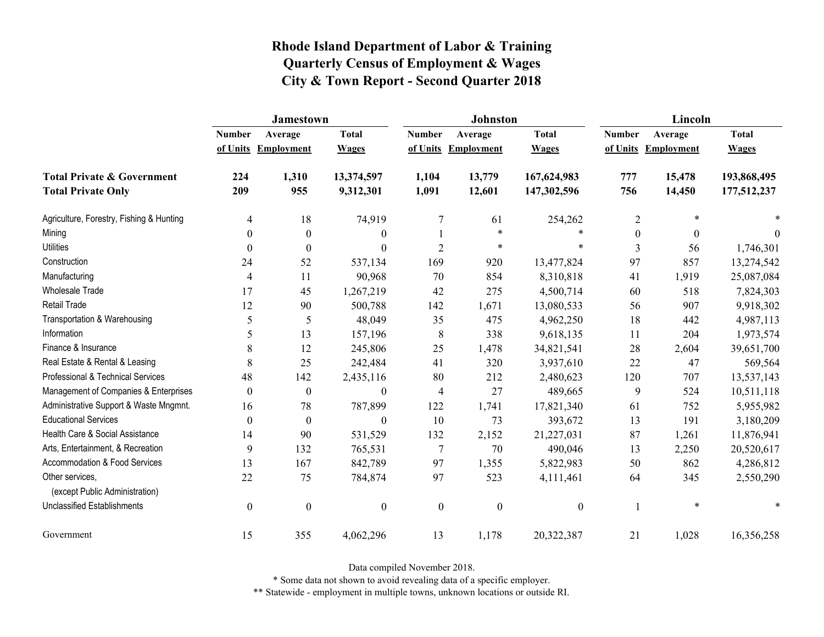|                                                   | Jamestown      |                     |                  |                  | <b>Johnston</b>   |                  | Lincoln        |                     |              |
|---------------------------------------------------|----------------|---------------------|------------------|------------------|-------------------|------------------|----------------|---------------------|--------------|
|                                                   | <b>Number</b>  | Average             | <b>Total</b>     | <b>Number</b>    | Average           | <b>Total</b>     | <b>Number</b>  | Average             | <b>Total</b> |
|                                                   |                | of Units Employment | <b>Wages</b>     | of Units         | <b>Employment</b> | <b>Wages</b>     |                | of Units Employment | <b>Wages</b> |
| <b>Total Private &amp; Government</b>             | 224            | 1,310               | 13,374,597       | 1,104            | 13,779            | 167,624,983      | 777            | 15,478              | 193,868,495  |
| <b>Total Private Only</b>                         | 209            | 955                 | 9,312,301        | 1,091            | 12,601            | 147,302,596      | 756            | 14,450              | 177,512,237  |
| Agriculture, Forestry, Fishing & Hunting          | $\overline{4}$ | 18                  | 74,919           | $\overline{7}$   | 61                | 254,262          | $\overline{2}$ | $\ast$              |              |
| Mining                                            | $\theta$       | $\theta$            | $\mathbf{0}$     |                  | $\ast$            | $\ast$           | $\overline{0}$ | $\theta$            | 0            |
| <b>Utilities</b>                                  | $\theta$       | $\boldsymbol{0}$    | $\boldsymbol{0}$ | $\overline{2}$   | $\ast$            | $\ast$           | 3              | 56                  | 1,746,301    |
| Construction                                      | 24             | 52                  | 537,134          | 169              | 920               | 13,477,824       | 97             | 857                 | 13,274,542   |
| Manufacturing                                     | 4              | 11                  | 90,968           | 70               | 854               | 8,310,818        | 41             | 1,919               | 25,087,084   |
| <b>Wholesale Trade</b>                            | 17             | 45                  | 1,267,219        | 42               | 275               | 4,500,714        | 60             | 518                 | 7,824,303    |
| Retail Trade                                      | 12             | 90                  | 500,788          | 142              | 1,671             | 13,080,533       | 56             | 907                 | 9,918,302    |
| Transportation & Warehousing                      | 5              | 5                   | 48,049           | 35               | 475               | 4,962,250        | 18             | 442                 | 4,987,113    |
| Information                                       | 5              | 13                  | 157,196          | 8                | 338               | 9,618,135        | 11             | 204                 | 1,973,574    |
| Finance & Insurance                               | 8              | 12                  | 245,806          | 25               | 1,478             | 34,821,541       | 28             | 2,604               | 39,651,700   |
| Real Estate & Rental & Leasing                    | 8              | 25                  | 242,484          | 41               | 320               | 3,937,610        | 22             | 47                  | 569,564      |
| Professional & Technical Services                 | 48             | 142                 | 2,435,116        | 80               | 212               | 2,480,623        | 120            | 707                 | 13,537,143   |
| Management of Companies & Enterprises             | $\theta$       | $\boldsymbol{0}$    | $\boldsymbol{0}$ | $\overline{4}$   | 27                | 489,665          | 9              | 524                 | 10,511,118   |
| Administrative Support & Waste Mngmnt.            | 16             | 78                  | 787,899          | 122              | 1,741             | 17,821,340       | 61             | 752                 | 5,955,982    |
| <b>Educational Services</b>                       | $\theta$       | $\boldsymbol{0}$    | $\boldsymbol{0}$ | 10               | 73                | 393,672          | 13             | 191                 | 3,180,209    |
| Health Care & Social Assistance                   | 14             | 90                  | 531,529          | 132              | 2,152             | 21,227,031       | 87             | 1,261               | 11,876,941   |
| Arts, Entertainment, & Recreation                 | 9              | 132                 | 765,531          | $\overline{7}$   | 70                | 490,046          | 13             | 2,250               | 20,520,617   |
| Accommodation & Food Services                     | 13             | 167                 | 842,789          | 97               | 1,355             | 5,822,983        | 50             | 862                 | 4,286,812    |
| Other services,<br>(except Public Administration) | 22             | 75                  | 784,874          | 97               | 523               | 4,111,461        | 64             | 345                 | 2,550,290    |
| <b>Unclassified Establishments</b>                | $\mathbf{0}$   | $\boldsymbol{0}$    | $\boldsymbol{0}$ | $\boldsymbol{0}$ | $\boldsymbol{0}$  | $\boldsymbol{0}$ |                | $\ast$              |              |
| Government                                        | 15             | 355                 | 4,062,296        | 13               | 1,178             | 20,322,387       | 21             | 1,028               | 16,356,258   |

Data compiled November 2018.

\* Some data not shown to avoid revealing data of a specific employer.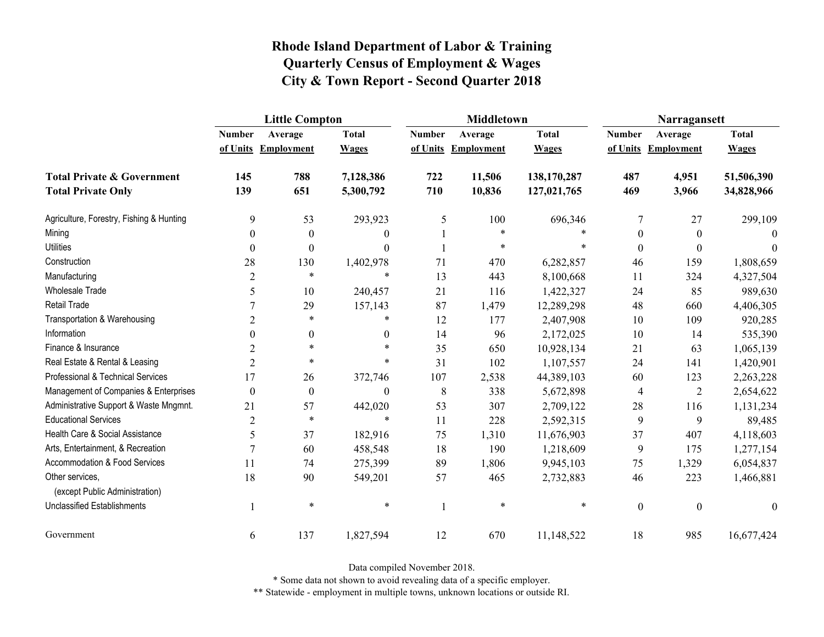|                                                   | <b>Little Compton</b> |                     |                  |               | <b>Middletown</b>   |              | Narragansett     |                     |              |
|---------------------------------------------------|-----------------------|---------------------|------------------|---------------|---------------------|--------------|------------------|---------------------|--------------|
|                                                   | <b>Number</b>         | Average             | <b>Total</b>     | <b>Number</b> | Average             | <b>Total</b> | <b>Number</b>    | Average             | <b>Total</b> |
|                                                   |                       | of Units Employment | <b>Wages</b>     |               | of Units Employment | <b>Wages</b> |                  | of Units Employment | <b>Wages</b> |
| <b>Total Private &amp; Government</b>             | 145                   | 788                 | 7,128,386        | 722           | 11,506              | 138,170,287  | 487              | 4,951               | 51,506,390   |
| <b>Total Private Only</b>                         | 139                   | 651                 | 5,300,792        | 710           | 10,836              | 127,021,765  | 469              | 3,966               | 34,828,966   |
| Agriculture, Forestry, Fishing & Hunting          | 9                     | 53                  | 293,923          | 5             | 100                 | 696,346      | 7                | 27                  | 299,109      |
| Mining                                            | $\boldsymbol{0}$      | $\boldsymbol{0}$    | $\theta$         |               | $\ast$              |              | $\boldsymbol{0}$ | $\boldsymbol{0}$    | $\Omega$     |
| <b>Utilities</b>                                  | $\theta$              | $\theta$            | $\Omega$         |               | $\ast$              | $\ast$       | $\boldsymbol{0}$ | $\theta$            | $\theta$     |
| Construction                                      | 28                    | 130                 | 1,402,978        | 71            | 470                 | 6,282,857    | 46               | 159                 | 1,808,659    |
| Manufacturing                                     | $\overline{2}$        | $\ast$              | $\ast$           | 13            | 443                 | 8,100,668    | 11               | 324                 | 4,327,504    |
| <b>Wholesale Trade</b>                            | 5                     | 10                  | 240,457          | 21            | 116                 | 1,422,327    | 24               | 85                  | 989,630      |
| <b>Retail Trade</b>                               | 7                     | 29                  | 157,143          | 87            | 1,479               | 12,289,298   | 48               | 660                 | 4,406,305    |
| Transportation & Warehousing                      | $\overline{2}$        | $\ast$              | $\ast$           | 12            | 177                 | 2,407,908    | 10               | 109                 | 920,285      |
| Information                                       | $\theta$              | $\boldsymbol{0}$    | $\theta$         | 14            | 96                  | 2,172,025    | 10               | 14                  | 535,390      |
| Finance & Insurance                               | $\overline{2}$        | $\ast$              | $\ast$           | 35            | 650                 | 10,928,134   | 21               | 63                  | 1,065,139    |
| Real Estate & Rental & Leasing                    | $\overline{2}$        | $\ast$              | $\ast$           | 31            | 102                 | 1,107,557    | 24               | 141                 | 1,420,901    |
| Professional & Technical Services                 | 17                    | 26                  | 372,746          | 107           | 2,538               | 44,389,103   | 60               | 123                 | 2,263,228    |
| Management of Companies & Enterprises             | $\boldsymbol{0}$      | $\boldsymbol{0}$    | $\boldsymbol{0}$ | 8             | 338                 | 5,672,898    | 4                | $\overline{2}$      | 2,654,622    |
| Administrative Support & Waste Mngmnt.            | 21                    | 57                  | 442,020          | 53            | 307                 | 2,709,122    | 28               | 116                 | 1,131,234    |
| <b>Educational Services</b>                       | $\overline{2}$        | $\ast$              | $\ast$           | 11            | 228                 | 2,592,315    | 9                | 9                   | 89,485       |
| Health Care & Social Assistance                   | 5                     | 37                  | 182,916          | 75            | 1,310               | 11,676,903   | 37               | 407                 | 4,118,603    |
| Arts, Entertainment, & Recreation                 | $\overline{7}$        | 60                  | 458,548          | 18            | 190                 | 1,218,609    | 9                | 175                 | 1,277,154    |
| <b>Accommodation &amp; Food Services</b>          | 11                    | 74                  | 275,399          | 89            | 1,806               | 9,945,103    | 75               | 1,329               | 6,054,837    |
| Other services,<br>(except Public Administration) | 18                    | 90                  | 549,201          | 57            | 465                 | 2,732,883    | 46               | 223                 | 1,466,881    |
| <b>Unclassified Establishments</b>                |                       | $\ast$              | $\ast$           |               | $\ast$              | $\ast$       | $\boldsymbol{0}$ | $\boldsymbol{0}$    | $\theta$     |
| Government                                        | 6                     | 137                 | 1,827,594        | 12            | 670                 | 11,148,522   | 18               | 985                 | 16,677,424   |

Data compiled November 2018.

\* Some data not shown to avoid revealing data of a specific employer.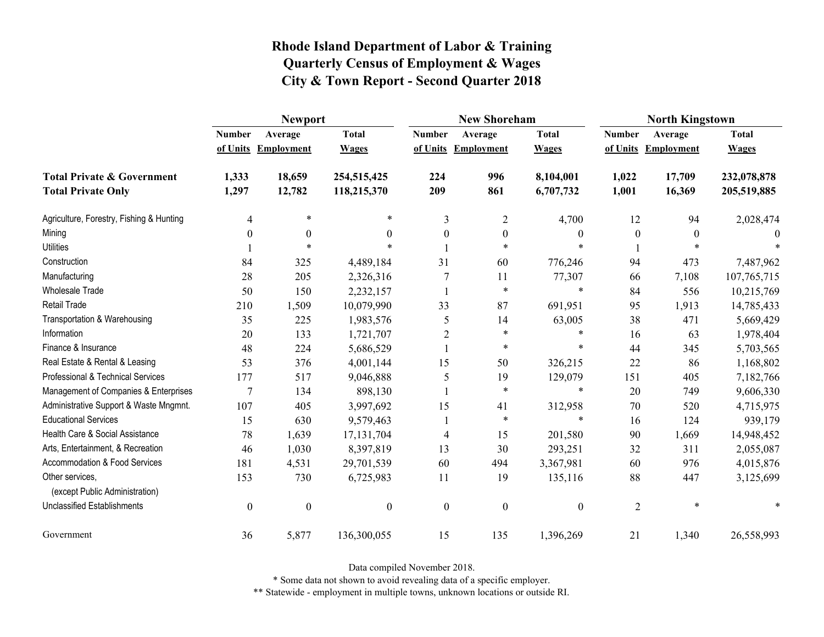|                                                   | <b>Newport</b>   |                     |                  |                  | <b>New Shoreham</b> |                  | <b>North Kingstown</b> |                     |              |
|---------------------------------------------------|------------------|---------------------|------------------|------------------|---------------------|------------------|------------------------|---------------------|--------------|
|                                                   | <b>Number</b>    | Average             | <b>Total</b>     | <b>Number</b>    | Average             | <b>Total</b>     | <b>Number</b>          | Average             | <b>Total</b> |
|                                                   |                  | of Units Employment | <b>Wages</b>     |                  | of Units Employment | <b>Wages</b>     |                        | of Units Employment | <b>Wages</b> |
| <b>Total Private &amp; Government</b>             | 1,333            | 18,659              | 254,515,425      | 224              | 996                 | 8,104,001        | 1,022                  | 17,709              | 232,078,878  |
| <b>Total Private Only</b>                         | 1,297            | 12,782              | 118,215,370      | 209              | 861                 | 6,707,732        | 1,001                  | 16,369              | 205,519,885  |
| Agriculture, Forestry, Fishing & Hunting          | 4                | $\ast$              | $\ast$           | 3                | $\overline{2}$      | 4,700            | 12                     | 94                  | 2,028,474    |
| Mining                                            | $\Omega$         | $\theta$            | 0                | $\theta$         | $\boldsymbol{0}$    | $\boldsymbol{0}$ | $\theta$               | $\theta$            |              |
| <b>Utilities</b>                                  |                  | $\ast$              | $\star$          |                  | $\ast$              | $\ast$           |                        | $\ast$              |              |
| Construction                                      | 84               | 325                 | 4,489,184        | 31               | 60                  | 776,246          | 94                     | 473                 | 7,487,962    |
| Manufacturing                                     | 28               | 205                 | 2,326,316        |                  | 11                  | 77,307           | 66                     | 7,108               | 107,765,715  |
| <b>Wholesale Trade</b>                            | 50               | 150                 | 2,232,157        |                  | $\ast$              | $\ast$           | 84                     | 556                 | 10,215,769   |
| <b>Retail Trade</b>                               | 210              | 1,509               | 10,079,990       | 33               | 87                  | 691,951          | 95                     | 1,913               | 14,785,433   |
| Transportation & Warehousing                      | 35               | 225                 | 1,983,576        | 5                | 14                  | 63,005           | 38                     | 471                 | 5,669,429    |
| Information                                       | 20               | 133                 | 1,721,707        | $\overline{2}$   | $\ast$              | $\ast$           | 16                     | 63                  | 1,978,404    |
| Finance & Insurance                               | 48               | 224                 | 5,686,529        |                  | $\ast$              | *                | 44                     | 345                 | 5,703,565    |
| Real Estate & Rental & Leasing                    | 53               | 376                 | 4,001,144        | 15               | 50                  | 326,215          | 22                     | 86                  | 1,168,802    |
| Professional & Technical Services                 | 177              | 517                 | 9,046,888        | 5                | 19                  | 129,079          | 151                    | 405                 | 7,182,766    |
| Management of Companies & Enterprises             | 7                | 134                 | 898,130          |                  | $\ast$              | $\ast$           | 20                     | 749                 | 9,606,330    |
| Administrative Support & Waste Mngmnt.            | 107              | 405                 | 3,997,692        | 15               | 41                  | 312,958          | 70                     | 520                 | 4,715,975    |
| <b>Educational Services</b>                       | 15               | 630                 | 9,579,463        |                  | $\ast$              | $\ast$           | 16                     | 124                 | 939,179      |
| Health Care & Social Assistance                   | 78               | 1,639               | 17, 131, 704     | $\overline{4}$   | 15                  | 201,580          | 90                     | 1,669               | 14,948,452   |
| Arts, Entertainment, & Recreation                 | 46               | 1,030               | 8,397,819        | 13               | 30                  | 293,251          | 32                     | 311                 | 2,055,087    |
| Accommodation & Food Services                     | 181              | 4,531               | 29,701,539       | 60               | 494                 | 3,367,981        | 60                     | 976                 | 4,015,876    |
| Other services,<br>(except Public Administration) | 153              | 730                 | 6,725,983        | 11               | 19                  | 135,116          | 88                     | 447                 | 3,125,699    |
| <b>Unclassified Establishments</b>                | $\boldsymbol{0}$ | $\boldsymbol{0}$    | $\boldsymbol{0}$ | $\boldsymbol{0}$ | $\boldsymbol{0}$    | $\boldsymbol{0}$ | $\overline{2}$         | $\ast$              | $\ast$       |
| Government                                        | 36               | 5,877               | 136,300,055      | 15               | 135                 | 1,396,269        | 21                     | 1,340               | 26,558,993   |

Data compiled November 2018.

\* Some data not shown to avoid revealing data of a specific employer.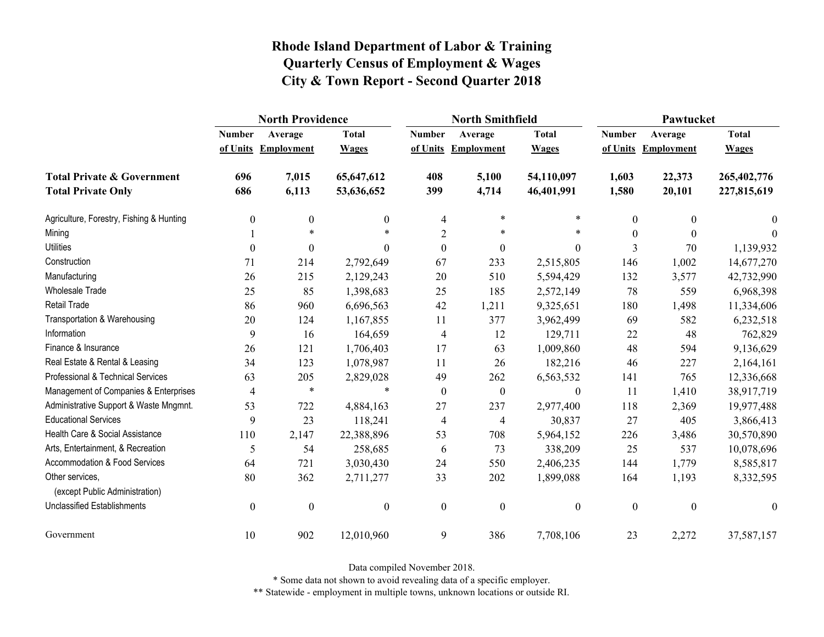|                                                   | <b>North Providence</b> |                     |                  |                  | <b>North Smithfield</b> |                  | Pawtucket        |                     |              |  |
|---------------------------------------------------|-------------------------|---------------------|------------------|------------------|-------------------------|------------------|------------------|---------------------|--------------|--|
|                                                   | <b>Number</b>           | Average             | <b>Total</b>     | <b>Number</b>    | Average                 | <b>Total</b>     | <b>Number</b>    | Average             | <b>Total</b> |  |
|                                                   |                         | of Units Employment | <b>Wages</b>     |                  | of Units Employment     | <b>Wages</b>     |                  | of Units Employment | <b>Wages</b> |  |
| <b>Total Private &amp; Government</b>             | 696                     | 7,015               | 65,647,612       | 408              | 5,100                   | 54,110,097       | 1,603            | 22,373              | 265,402,776  |  |
| <b>Total Private Only</b>                         | 686                     | 6,113               | 53,636,652       | 399              | 4,714                   | 46,401,991       | 1,580            | 20,101              | 227,815,619  |  |
| Agriculture, Forestry, Fishing & Hunting          | $\boldsymbol{0}$        | $\boldsymbol{0}$    | $\mathbf{0}$     | 4                | $\ast$                  | *                | $\boldsymbol{0}$ | $\mathbf{0}$        | $\theta$     |  |
| Mining                                            |                         | $\ast$              |                  | $\overline{2}$   | *                       | $\ast$           | $\theta$         | $\theta$            | $\Omega$     |  |
| <b>Utilities</b>                                  | $\theta$                | $\theta$            | $\theta$         | $\boldsymbol{0}$ | $\boldsymbol{0}$        | $\theta$         | 3                | 70                  | 1,139,932    |  |
| Construction                                      | 71                      | 214                 | 2,792,649        | 67               | 233                     | 2,515,805        | 146              | 1,002               | 14,677,270   |  |
| Manufacturing                                     | 26                      | 215                 | 2,129,243        | 20               | 510                     | 5,594,429        | 132              | 3,577               | 42,732,990   |  |
| Wholesale Trade                                   | 25                      | 85                  | 1,398,683        | 25               | 185                     | 2,572,149        | 78               | 559                 | 6,968,398    |  |
| Retail Trade                                      | 86                      | 960                 | 6,696,563        | 42               | 1,211                   | 9,325,651        | 180              | 1,498               | 11,334,606   |  |
| Transportation & Warehousing                      | 20                      | 124                 | 1,167,855        | 11               | 377                     | 3,962,499        | 69               | 582                 | 6,232,518    |  |
| Information                                       | 9                       | 16                  | 164,659          | 4                | 12                      | 129,711          | 22               | 48                  | 762,829      |  |
| Finance & Insurance                               | 26                      | 121                 | 1,706,403        | 17               | 63                      | 1,009,860        | 48               | 594                 | 9,136,629    |  |
| Real Estate & Rental & Leasing                    | 34                      | 123                 | 1,078,987        | 11               | 26                      | 182,216          | 46               | 227                 | 2,164,161    |  |
| Professional & Technical Services                 | 63                      | 205                 | 2,829,028        | 49               | 262                     | 6,563,532        | 141              | 765                 | 12,336,668   |  |
| Management of Companies & Enterprises             | $\overline{4}$          | $\ast$              | $\ast$           | $\boldsymbol{0}$ | $\boldsymbol{0}$        | $\boldsymbol{0}$ | 11               | 1,410               | 38,917,719   |  |
| Administrative Support & Waste Mngmnt.            | 53                      | 722                 | 4,884,163        | 27               | 237                     | 2,977,400        | 118              | 2,369               | 19,977,488   |  |
| <b>Educational Services</b>                       | 9                       | 23                  | 118,241          | 4                | 4                       | 30,837           | 27               | 405                 | 3,866,413    |  |
| Health Care & Social Assistance                   | 110                     | 2,147               | 22,388,896       | 53               | 708                     | 5,964,152        | 226              | 3,486               | 30,570,890   |  |
| Arts, Entertainment, & Recreation                 | 5                       | 54                  | 258,685          | 6                | 73                      | 338,209          | 25               | 537                 | 10,078,696   |  |
| <b>Accommodation &amp; Food Services</b>          | 64                      | 721                 | 3,030,430        | 24               | 550                     | 2,406,235        | 144              | 1,779               | 8,585,817    |  |
| Other services,<br>(except Public Administration) | 80                      | 362                 | 2,711,277        | 33               | 202                     | 1,899,088        | 164              | 1,193               | 8,332,595    |  |
| <b>Unclassified Establishments</b>                | $\boldsymbol{0}$        | $\boldsymbol{0}$    | $\boldsymbol{0}$ | $\boldsymbol{0}$ | $\boldsymbol{0}$        | $\boldsymbol{0}$ | $\mathbf{0}$     | $\boldsymbol{0}$    | $\mathbf{0}$ |  |
| Government                                        | 10                      | 902                 | 12,010,960       | 9                | 386                     | 7,708,106        | 23               | 2,272               | 37,587,157   |  |

Data compiled November 2018.

\* Some data not shown to avoid revealing data of a specific employer.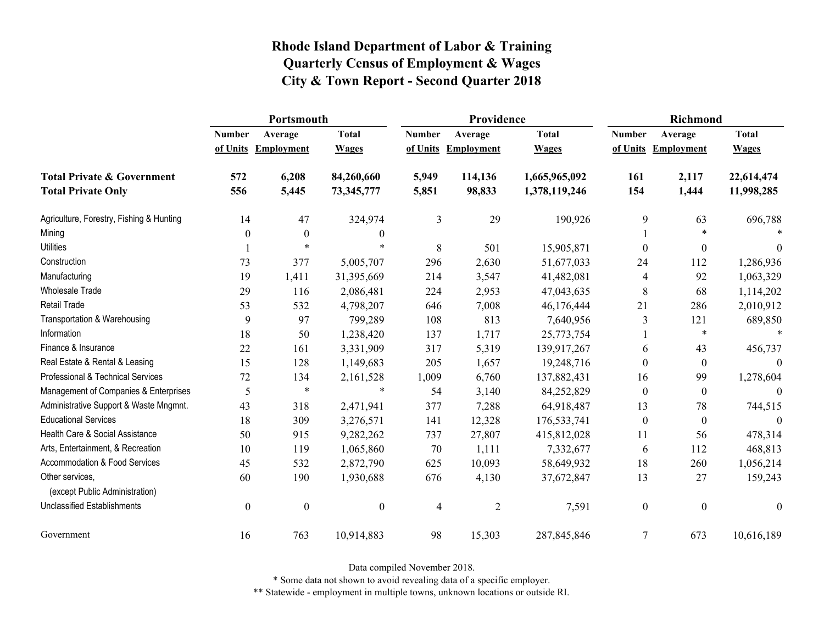|                                                   | Portsmouth       |                     |                  |               | Providence          |               | <b>Richmond</b>  |                     |                  |
|---------------------------------------------------|------------------|---------------------|------------------|---------------|---------------------|---------------|------------------|---------------------|------------------|
|                                                   | <b>Number</b>    | Average             | <b>Total</b>     | <b>Number</b> | Average             | <b>Total</b>  | <b>Number</b>    | Average             | <b>Total</b>     |
|                                                   |                  | of Units Employment | <b>Wages</b>     |               | of Units Employment | <b>Wages</b>  |                  | of Units Employment | <b>Wages</b>     |
| <b>Total Private &amp; Government</b>             | 572              | 6,208               | 84,260,660       | 5,949         | 114,136             | 1,665,965,092 | 161              | 2,117               | 22,614,474       |
| <b>Total Private Only</b>                         | 556              | 5,445               | 73,345,777       | 5,851         | 98,833              | 1,378,119,246 | 154              | 1,444               | 11,998,285       |
| Agriculture, Forestry, Fishing & Hunting          | 14               | 47                  | 324,974          | 3             | 29                  | 190,926       | 9                | 63                  | 696,788          |
| Mining                                            | 0                | $\boldsymbol{0}$    | $\boldsymbol{0}$ |               |                     |               |                  | $\ast$              | $\ast$           |
| <b>Utilities</b>                                  |                  | $\ast$              | $\ast$           | 8             | 501                 | 15,905,871    | $\theta$         | $\boldsymbol{0}$    | $\theta$         |
| Construction                                      | 73               | 377                 | 5,005,707        | 296           | 2,630               | 51,677,033    | 24               | 112                 | 1,286,936        |
| Manufacturing                                     | 19               | 1,411               | 31,395,669       | 214           | 3,547               | 41,482,081    | $\overline{4}$   | 92                  | 1,063,329        |
| <b>Wholesale Trade</b>                            | 29               | 116                 | 2,086,481        | 224           | 2,953               | 47,043,635    | 8                | 68                  | 1,114,202        |
| <b>Retail Trade</b>                               | 53               | 532                 | 4,798,207        | 646           | 7,008               | 46,176,444    | 21               | 286                 | 2,010,912        |
| Transportation & Warehousing                      | 9                | 97                  | 799,289          | 108           | 813                 | 7,640,956     | 3                | 121                 | 689,850          |
| Information                                       | 18               | 50                  | 1,238,420        | 137           | 1,717               | 25,773,754    |                  | $\ast$              | $\ast$           |
| Finance & Insurance                               | 22               | 161                 | 3,331,909        | 317           | 5,319               | 139,917,267   | 6                | 43                  | 456,737          |
| Real Estate & Rental & Leasing                    | 15               | 128                 | 1,149,683        | 205           | 1,657               | 19,248,716    | $\theta$         | $\mathbf{0}$        |                  |
| Professional & Technical Services                 | 72               | 134                 | 2,161,528        | 1,009         | 6,760               | 137,882,431   | 16               | 99                  | 1,278,604        |
| Management of Companies & Enterprises             | 5                | $\ast$              | $\ast$           | 54            | 3,140               | 84,252,829    | $\theta$         | $\boldsymbol{0}$    | $\Omega$         |
| Administrative Support & Waste Mngmnt.            | 43               | 318                 | 2,471,941        | 377           | 7,288               | 64,918,487    | 13               | 78                  | 744,515          |
| <b>Educational Services</b>                       | 18               | 309                 | 3,276,571        | 141           | 12,328              | 176,533,741   | $\boldsymbol{0}$ | $\mathbf{0}$        | $\Omega$         |
| Health Care & Social Assistance                   | 50               | 915                 | 9,282,262        | 737           | 27,807              | 415,812,028   | 11               | 56                  | 478,314          |
| Arts, Entertainment, & Recreation                 | 10               | 119                 | 1,065,860        | 70            | 1,111               | 7,332,677     | 6                | 112                 | 468,813          |
| Accommodation & Food Services                     | 45               | 532                 | 2,872,790        | 625           | 10,093              | 58,649,932    | 18               | 260                 | 1,056,214        |
| Other services,<br>(except Public Administration) | 60               | 190                 | 1,930,688        | 676           | 4,130               | 37,672,847    | 13               | 27                  | 159,243          |
| <b>Unclassified Establishments</b>                | $\boldsymbol{0}$ | $\boldsymbol{0}$    | $\boldsymbol{0}$ | 4             | $\overline{2}$      | 7,591         | $\boldsymbol{0}$ | $\boldsymbol{0}$    | $\boldsymbol{0}$ |
| Government                                        | 16               | 763                 | 10,914,883       | 98            | 15,303              | 287, 845, 846 | $\overline{7}$   | 673                 | 10,616,189       |

Data compiled November 2018.

\* Some data not shown to avoid revealing data of a specific employer.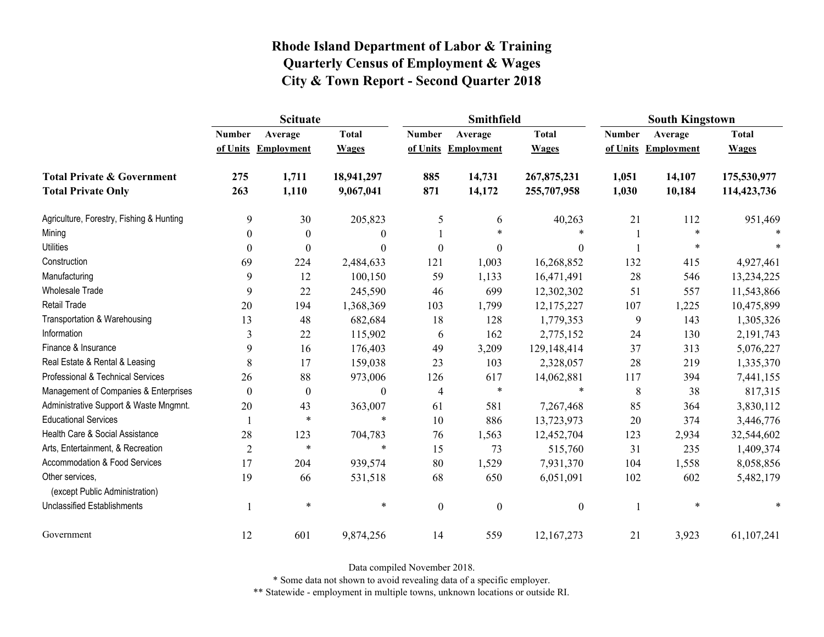|                                                   | <b>Scituate</b> |                     |                  |                  | <b>Smithfield</b> |                  | <b>South Kingstown</b> |                     |              |
|---------------------------------------------------|-----------------|---------------------|------------------|------------------|-------------------|------------------|------------------------|---------------------|--------------|
|                                                   | <b>Number</b>   | Average             | <b>Total</b>     | <b>Number</b>    | Average           | <b>Total</b>     | <b>Number</b>          | Average             | <b>Total</b> |
|                                                   |                 | of Units Employment | <b>Wages</b>     | of Units         | <b>Employment</b> | <b>Wages</b>     |                        | of Units Employment | <b>Wages</b> |
| <b>Total Private &amp; Government</b>             | 275             | 1,711               | 18,941,297       | 885              | 14,731            | 267,875,231      | 1,051                  | 14,107              | 175,530,977  |
| <b>Total Private Only</b>                         | 263             | 1,110               | 9,067,041        | 871              | 14,172            | 255,707,958      | 1,030                  | 10,184              | 114,423,736  |
| Agriculture, Forestry, Fishing & Hunting          | 9               | 30                  | 205,823          | 5                | 6                 | 40,263           | 21                     | 112                 | 951,469      |
| Mining                                            | 0               | $\theta$            | $\mathbf{0}$     |                  | $\ast$            | $\ast$           |                        | $\ast$              |              |
| <b>Utilities</b>                                  | 0               | $\boldsymbol{0}$    | $\boldsymbol{0}$ | $\boldsymbol{0}$ | $\boldsymbol{0}$  | $\boldsymbol{0}$ |                        | *                   |              |
| Construction                                      | 69              | 224                 | 2,484,633        | 121              | 1,003             | 16,268,852       | 132                    | 415                 | 4,927,461    |
| Manufacturing                                     | 9               | 12                  | 100,150          | 59               | 1,133             | 16,471,491       | 28                     | 546                 | 13,234,225   |
| Wholesale Trade                                   | 9               | 22                  | 245,590          | 46               | 699               | 12,302,302       | 51                     | 557                 | 11,543,866   |
| <b>Retail Trade</b>                               | 20              | 194                 | 1,368,369        | 103              | 1,799             | 12, 175, 227     | 107                    | 1,225               | 10,475,899   |
| Transportation & Warehousing                      | 13              | 48                  | 682,684          | 18               | 128               | 1,779,353        | 9                      | 143                 | 1,305,326    |
| Information                                       | 3               | 22                  | 115,902          | 6                | 162               | 2,775,152        | 24                     | 130                 | 2,191,743    |
| Finance & Insurance                               | 9               | 16                  | 176,403          | 49               | 3,209             | 129,148,414      | 37                     | 313                 | 5,076,227    |
| Real Estate & Rental & Leasing                    | 8               | 17                  | 159,038          | 23               | 103               | 2,328,057        | 28                     | 219                 | 1,335,370    |
| Professional & Technical Services                 | 26              | 88                  | 973,006          | 126              | 617               | 14,062,881       | 117                    | 394                 | 7,441,155    |
| Management of Companies & Enterprises             | $\theta$        | $\theta$            | $\boldsymbol{0}$ | $\overline{4}$   | $\ast$            | $\ast$           | 8                      | 38                  | 817,315      |
| Administrative Support & Waste Mngmnt.            | 20              | 43                  | 363,007          | 61               | 581               | 7,267,468        | 85                     | 364                 | 3,830,112    |
| <b>Educational Services</b>                       |                 | $\ast$              | $\ast$           | 10               | 886               | 13,723,973       | 20                     | 374                 | 3,446,776    |
| Health Care & Social Assistance                   | 28              | 123                 | 704,783          | 76               | 1,563             | 12,452,704       | 123                    | 2,934               | 32,544,602   |
| Arts, Entertainment, & Recreation                 | $\overline{2}$  | $\ast$              | $\ast$           | 15               | 73                | 515,760          | 31                     | 235                 | 1,409,374    |
| <b>Accommodation &amp; Food Services</b>          | 17              | 204                 | 939,574          | 80               | 1,529             | 7,931,370        | 104                    | 1,558               | 8,058,856    |
| Other services,<br>(except Public Administration) | 19              | 66                  | 531,518          | 68               | 650               | 6,051,091        | 102                    | 602                 | 5,482,179    |
| <b>Unclassified Establishments</b>                |                 | $\ast$              | $\ast$           | $\boldsymbol{0}$ | $\boldsymbol{0}$  | $\boldsymbol{0}$ |                        | $\ast$              | $\ast$       |
| Government                                        | 12              | 601                 | 9,874,256        | 14               | 559               | 12, 167, 273     | 21                     | 3,923               | 61,107,241   |

Data compiled November 2018.

\* Some data not shown to avoid revealing data of a specific employer.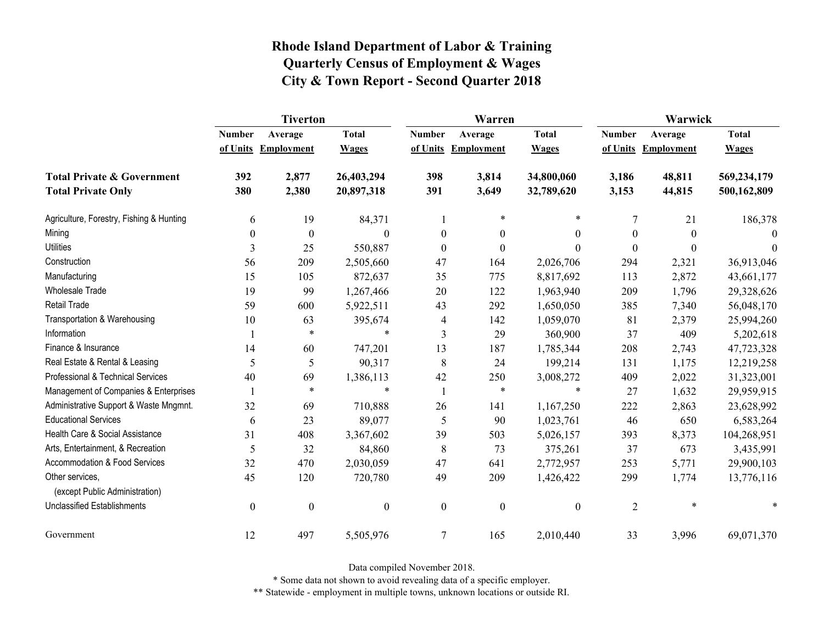|                                                   | <b>Tiverton</b>  |                   |                  |                  | Warren              |                  | Warwick        |                   |              |
|---------------------------------------------------|------------------|-------------------|------------------|------------------|---------------------|------------------|----------------|-------------------|--------------|
|                                                   | <b>Number</b>    | Average           | <b>Total</b>     | <b>Number</b>    | Average             | <b>Total</b>     | <b>Number</b>  | Average           | <b>Total</b> |
|                                                   | of Units         | <b>Employment</b> | <b>Wages</b>     |                  | of Units Employment | <b>Wages</b>     | of Units       | <b>Employment</b> | <b>Wages</b> |
| <b>Total Private &amp; Government</b>             | 392              | 2,877             | 26,403,294       | 398              | 3,814               | 34,800,060       | 3,186          | 48,811            | 569,234,179  |
| <b>Total Private Only</b>                         | 380              | 2,380             | 20,897,318       | 391              | 3,649               | 32,789,620       | 3,153          | 44,815            | 500,162,809  |
| Agriculture, Forestry, Fishing & Hunting          | 6                | 19                | 84,371           |                  | $\ast$              | $\ast$           | 7              | 21                | 186,378      |
| Mining                                            | $\boldsymbol{0}$ | $\boldsymbol{0}$  | $\theta$         | $\boldsymbol{0}$ | $\boldsymbol{0}$    | $\boldsymbol{0}$ | 0              | $\theta$          | $\Omega$     |
| <b>Utilities</b>                                  | 3                | 25                | 550,887          | $\mathbf{0}$     | $\boldsymbol{0}$    | $\theta$         | $\Omega$       | $\theta$          | $\theta$     |
| Construction                                      | 56               | 209               | 2,505,660        | 47               | 164                 | 2,026,706        | 294            | 2,321             | 36,913,046   |
| Manufacturing                                     | 15               | 105               | 872,637          | 35               | 775                 | 8,817,692        | 113            | 2,872             | 43,661,177   |
| <b>Wholesale Trade</b>                            | 19               | 99                | 1,267,466        | 20               | 122                 | 1,963,940        | 209            | 1,796             | 29,328,626   |
| <b>Retail Trade</b>                               | 59               | 600               | 5,922,511        | 43               | 292                 | 1,650,050        | 385            | 7,340             | 56,048,170   |
| Transportation & Warehousing                      | 10               | 63                | 395,674          | 4                | 142                 | 1,059,070        | 81             | 2,379             | 25,994,260   |
| Information                                       |                  | $\ast$            | $\ast$           | 3                | 29                  | 360,900          | 37             | 409               | 5,202,618    |
| Finance & Insurance                               | 14               | 60                | 747,201          | 13               | 187                 | 1,785,344        | 208            | 2,743             | 47,723,328   |
| Real Estate & Rental & Leasing                    | 5                | 5                 | 90,317           | 8                | 24                  | 199,214          | 131            | 1,175             | 12,219,258   |
| Professional & Technical Services                 | 40               | 69                | 1,386,113        | 42               | 250                 | 3,008,272        | 409            | 2,022             | 31,323,001   |
| Management of Companies & Enterprises             |                  | $\ast$            | $\ast$           |                  | $\ast$              | $\ast$           | 27             | 1,632             | 29,959,915   |
| Administrative Support & Waste Mngmnt.            | 32               | 69                | 710,888          | 26               | 141                 | 1,167,250        | 222            | 2,863             | 23,628,992   |
| <b>Educational Services</b>                       | 6                | 23                | 89,077           | 5                | 90                  | 1,023,761        | 46             | 650               | 6,583,264    |
| Health Care & Social Assistance                   | 31               | 408               | 3,367,602        | 39               | 503                 | 5,026,157        | 393            | 8,373             | 104,268,951  |
| Arts, Entertainment, & Recreation                 | 5                | 32                | 84,860           | 8                | 73                  | 375,261          | 37             | 673               | 3,435,991    |
| Accommodation & Food Services                     | 32               | 470               | 2,030,059        | 47               | 641                 | 2,772,957        | 253            | 5,771             | 29,900,103   |
| Other services,<br>(except Public Administration) | 45               | 120               | 720,780          | 49               | 209                 | 1,426,422        | 299            | 1,774             | 13,776,116   |
| <b>Unclassified Establishments</b>                | $\boldsymbol{0}$ | $\boldsymbol{0}$  | $\boldsymbol{0}$ | $\boldsymbol{0}$ | $\boldsymbol{0}$    | $\boldsymbol{0}$ | $\overline{2}$ | $\ast$            |              |
| Government                                        | 12               | 497               | 5,505,976        | 7                | 165                 | 2,010,440        | 33             | 3,996             | 69,071,370   |

Data compiled November 2018.

\* Some data not shown to avoid revealing data of a specific employer.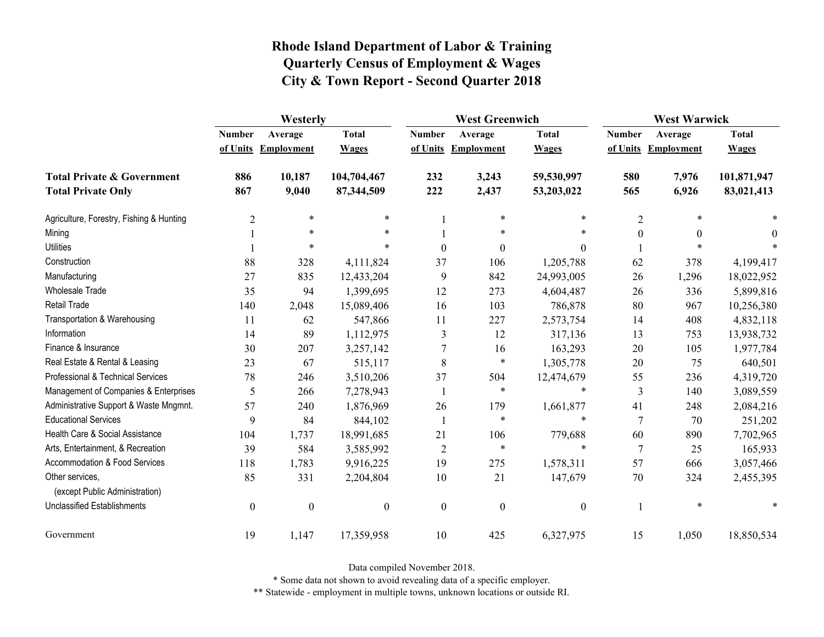|                                                   | Westerly         |                     |                  |                  | <b>West Greenwich</b> |                  |                  | <b>West Warwick</b> |              |  |
|---------------------------------------------------|------------------|---------------------|------------------|------------------|-----------------------|------------------|------------------|---------------------|--------------|--|
|                                                   | <b>Number</b>    | Average             | <b>Total</b>     | <b>Number</b>    | Average               | <b>Total</b>     | <b>Number</b>    | Average             | <b>Total</b> |  |
|                                                   |                  | of Units Employment | <b>Wages</b>     |                  | of Units Employment   | <b>Wages</b>     |                  | of Units Employment | <b>Wages</b> |  |
| <b>Total Private &amp; Government</b>             | 886              | 10,187              | 104,704,467      | 232              | 3,243                 | 59,530,997       | 580              | 7,976               | 101,871,947  |  |
| <b>Total Private Only</b>                         | 867              | 9,040               | 87,344,509       | 222              | 2,437                 | 53,203,022       | 565              | 6,926               | 83,021,413   |  |
| Agriculture, Forestry, Fishing & Hunting          | $\overline{c}$   | $\ast$              | $\ast$           |                  | $\ast$                | $\ast$           | $\overline{2}$   | *                   |              |  |
| Mining                                            |                  | $\ast$              | $\ast$           |                  | $\ast$                | *                | $\boldsymbol{0}$ | 0                   | $\Omega$     |  |
| <b>Utilities</b>                                  |                  | $\ast$              | $\ast$           | $\boldsymbol{0}$ | $\boldsymbol{0}$      | $\theta$         |                  | $\ast$              |              |  |
| Construction                                      | 88               | 328                 | 4,111,824        | 37               | 106                   | 1,205,788        | 62               | 378                 | 4,199,417    |  |
| Manufacturing                                     | 27               | 835                 | 12,433,204       | 9                | 842                   | 24,993,005       | 26               | 1,296               | 18,022,952   |  |
| Wholesale Trade                                   | 35               | 94                  | 1,399,695        | 12               | 273                   | 4,604,487        | 26               | 336                 | 5,899,816    |  |
| <b>Retail Trade</b>                               | 140              | 2,048               | 15,089,406       | 16               | 103                   | 786,878          | 80               | 967                 | 10,256,380   |  |
| Transportation & Warehousing                      | 11               | 62                  | 547,866          | 11               | 227                   | 2,573,754        | 14               | 408                 | 4,832,118    |  |
| Information                                       | 14               | 89                  | 1,112,975        | 3                | 12                    | 317,136          | 13               | 753                 | 13,938,732   |  |
| Finance & Insurance                               | 30               | 207                 | 3,257,142        | 7                | 16                    | 163,293          | 20               | 105                 | 1,977,784    |  |
| Real Estate & Rental & Leasing                    | 23               | 67                  | 515,117          | $\,8\,$          | $\ast$                | 1,305,778        | 20               | 75                  | 640,501      |  |
| Professional & Technical Services                 | 78               | 246                 | 3,510,206        | 37               | 504                   | 12,474,679       | 55               | 236                 | 4,319,720    |  |
| Management of Companies & Enterprises             | 5                | 266                 | 7,278,943        | $\mathbf{1}$     | $\ast$                | $\ast$           | 3                | 140                 | 3,089,559    |  |
| Administrative Support & Waste Mngmnt.            | 57               | 240                 | 1,876,969        | 26               | 179                   | 1,661,877        | 41               | 248                 | 2,084,216    |  |
| <b>Educational Services</b>                       | 9                | 84                  | 844,102          | 1                | $\ast$                | $\ast$           | $\overline{7}$   | 70                  | 251,202      |  |
| Health Care & Social Assistance                   | 104              | 1,737               | 18,991,685       | 21               | 106                   | 779,688          | 60               | 890                 | 7,702,965    |  |
| Arts, Entertainment, & Recreation                 | 39               | 584                 | 3,585,992        | $\overline{2}$   | $\ast$                | $\ast$           | $\overline{7}$   | 25                  | 165,933      |  |
| <b>Accommodation &amp; Food Services</b>          | 118              | 1,783               | 9,916,225        | 19               | 275                   | 1,578,311        | 57               | 666                 | 3,057,466    |  |
| Other services,<br>(except Public Administration) | 85               | 331                 | 2,204,804        | 10               | 21                    | 147,679          | 70               | 324                 | 2,455,395    |  |
| <b>Unclassified Establishments</b>                | $\boldsymbol{0}$ | $\boldsymbol{0}$    | $\boldsymbol{0}$ | $\boldsymbol{0}$ | $\boldsymbol{0}$      | $\boldsymbol{0}$ |                  | $\ast$              |              |  |
| Government                                        | 19               | 1,147               | 17,359,958       | 10               | 425                   | 6,327,975        | 15               | 1,050               | 18,850,534   |  |

Data compiled November 2018.

\* Some data not shown to avoid revealing data of a specific employer.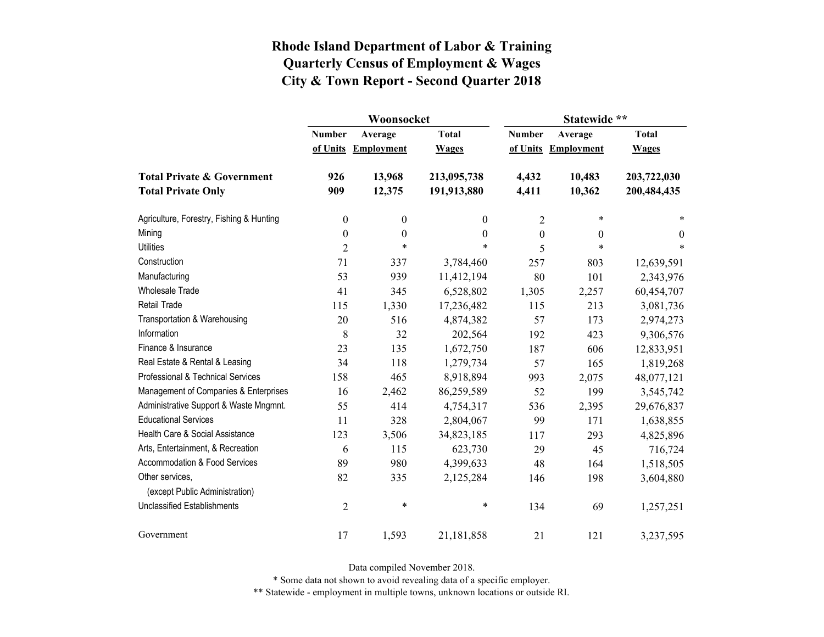|                                                   |                  | Woonsocket        |                  | Statewide **     |                     |                  |  |
|---------------------------------------------------|------------------|-------------------|------------------|------------------|---------------------|------------------|--|
|                                                   | <b>Number</b>    | Average           | <b>Total</b>     | <b>Number</b>    | Average             | <b>Total</b>     |  |
|                                                   | of Units         | <b>Employment</b> | <b>Wages</b>     |                  | of Units Employment | <b>Wages</b>     |  |
| <b>Total Private &amp; Government</b>             | 926              | 13,968            | 213,095,738      | 4,432            | 10,483              | 203,722,030      |  |
| <b>Total Private Only</b>                         | 909              | 12,375            | 191,913,880      | 4,411            | 10,362              | 200,484,435      |  |
| Agriculture, Forestry, Fishing & Hunting          | $\boldsymbol{0}$ | $\boldsymbol{0}$  | 0                | 2                | $\ast$              | *                |  |
| Mining                                            | $\boldsymbol{0}$ | $\boldsymbol{0}$  | $\boldsymbol{0}$ | $\boldsymbol{0}$ | $\overline{0}$      | $\boldsymbol{0}$ |  |
| <b>Utilities</b>                                  | $\overline{2}$   | $\ast$            | *                | 5                | $\ast$              | $\ast$           |  |
| Construction                                      | 71               | 337               | 3,784,460        | 257              | 803                 | 12,639,591       |  |
| Manufacturing                                     | 53               | 939               | 11,412,194       | 80               | 101                 | 2,343,976        |  |
| <b>Wholesale Trade</b>                            | 41               | 345               | 6,528,802        | 1,305            | 2,257               | 60,454,707       |  |
| <b>Retail Trade</b>                               | 115              | 1,330             | 17,236,482       | 115              | 213                 | 3,081,736        |  |
| Transportation & Warehousing                      | 20               | 516               | 4,874,382        | 57               | 173                 | 2,974,273        |  |
| Information                                       | 8                | 32                | 202,564          | 192              | 423                 | 9,306,576        |  |
| Finance & Insurance                               | 23               | 135               | 1,672,750        | 187              | 606                 | 12,833,951       |  |
| Real Estate & Rental & Leasing                    | 34               | 118               | 1,279,734        | 57               | 165                 | 1,819,268        |  |
| Professional & Technical Services                 | 158              | 465               | 8,918,894        | 993              | 2,075               | 48,077,121       |  |
| Management of Companies & Enterprises             | 16               | 2,462             | 86,259,589       | 52               | 199                 | 3,545,742        |  |
| Administrative Support & Waste Mngmnt.            | 55               | 414               | 4,754,317        | 536              | 2,395               | 29,676,837       |  |
| <b>Educational Services</b>                       | 11               | 328               | 2,804,067        | 99               | 171                 | 1,638,855        |  |
| Health Care & Social Assistance                   | 123              | 3,506             | 34,823,185       | 117              | 293                 | 4,825,896        |  |
| Arts, Entertainment, & Recreation                 | 6                | 115               | 623,730          | 29               | 45                  | 716,724          |  |
| Accommodation & Food Services                     | 89               | 980               | 4,399,633        | 48               | 164                 | 1,518,505        |  |
| Other services,<br>(except Public Administration) | 82               | 335               | 2,125,284        | 146              | 198                 | 3,604,880        |  |
| <b>Unclassified Establishments</b>                | $\overline{2}$   | $\ast$            | $\ast$           | 134              | 69                  | 1,257,251        |  |
| Government                                        | 17               | 1,593             | 21,181,858       | 21               | 121                 | 3,237,595        |  |

Data compiled November 2018.

\* Some data not shown to avoid revealing data of a specific employer.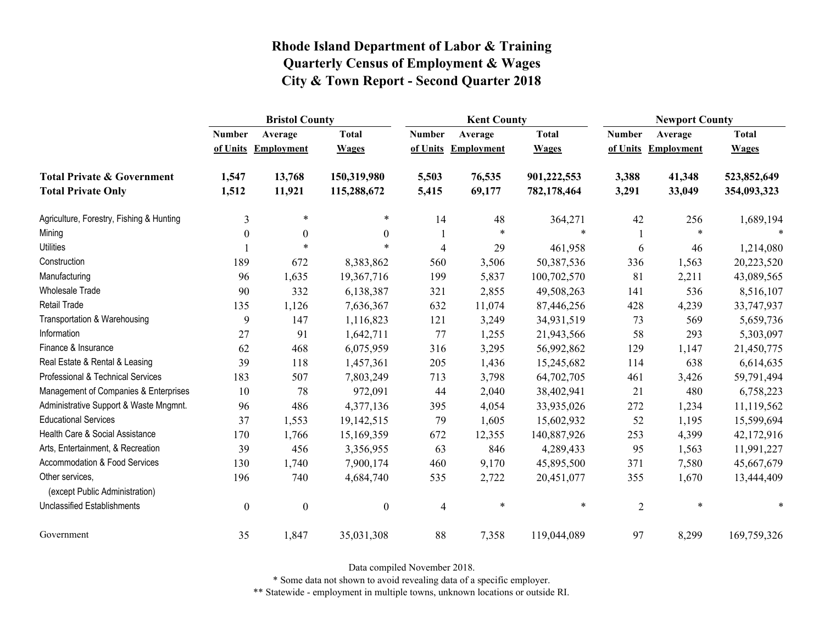|                                                   | <b>Bristol County</b> |                   |                  |                | <b>Kent County</b> |              | <b>Newport County</b> |                   |              |
|---------------------------------------------------|-----------------------|-------------------|------------------|----------------|--------------------|--------------|-----------------------|-------------------|--------------|
|                                                   | <b>Number</b>         | Average           | <b>Total</b>     | <b>Number</b>  | Average            | <b>Total</b> | <b>Number</b>         | Average           | <b>Total</b> |
|                                                   | of Units              | <b>Employment</b> | <b>Wages</b>     | of Units       | <b>Employment</b>  | <b>Wages</b> | of Units              | <b>Employment</b> | <b>Wages</b> |
| <b>Total Private &amp; Government</b>             | 1,547                 | 13,768            | 150,319,980      | 5,503          | 76,535             | 901,222,553  | 3,388                 | 41,348            | 523,852,649  |
| <b>Total Private Only</b>                         | 1,512                 | 11,921            | 115,288,672      | 5,415          | 69,177             | 782,178,464  | 3,291                 | 33,049            | 354,093,323  |
| Agriculture, Forestry, Fishing & Hunting          | 3                     | $\ast$            | *                | 14             | 48                 | 364,271      | 42                    | 256               | 1,689,194    |
| Mining                                            | $\boldsymbol{0}$      | $\boldsymbol{0}$  | $\mathbf{0}$     |                | $\ast$             | $\ast$       |                       | $\ast$            | $\ast$       |
| <b>Utilities</b>                                  |                       | $\ast$            | $\ast$           | $\overline{4}$ | 29                 | 461,958      | 6                     | 46                | 1,214,080    |
| Construction                                      | 189                   | 672               | 8,383,862        | 560            | 3,506              | 50,387,536   | 336                   | 1,563             | 20,223,520   |
| Manufacturing                                     | 96                    | 1,635             | 19,367,716       | 199            | 5,837              | 100,702,570  | 81                    | 2,211             | 43,089,565   |
| Wholesale Trade                                   | 90                    | 332               | 6,138,387        | 321            | 2,855              | 49,508,263   | 141                   | 536               | 8,516,107    |
| <b>Retail Trade</b>                               | 135                   | 1,126             | 7,636,367        | 632            | 11,074             | 87,446,256   | 428                   | 4,239             | 33,747,937   |
| Transportation & Warehousing                      | 9                     | 147               | 1,116,823        | 121            | 3,249              | 34,931,519   | 73                    | 569               | 5,659,736    |
| Information                                       | 27                    | 91                | 1,642,711        | 77             | 1,255              | 21,943,566   | 58                    | 293               | 5,303,097    |
| Finance & Insurance                               | 62                    | 468               | 6,075,959        | 316            | 3,295              | 56,992,862   | 129                   | 1,147             | 21,450,775   |
| Real Estate & Rental & Leasing                    | 39                    | 118               | 1,457,361        | 205            | 1,436              | 15,245,682   | 114                   | 638               | 6,614,635    |
| Professional & Technical Services                 | 183                   | 507               | 7,803,249        | 713            | 3,798              | 64,702,705   | 461                   | 3,426             | 59,791,494   |
| Management of Companies & Enterprises             | 10                    | 78                | 972,091          | 44             | 2,040              | 38,402,941   | 21                    | 480               | 6,758,223    |
| Administrative Support & Waste Mngmnt.            | 96                    | 486               | 4,377,136        | 395            | 4,054              | 33,935,026   | 272                   | 1,234             | 11,119,562   |
| <b>Educational Services</b>                       | 37                    | 1,553             | 19,142,515       | 79             | 1,605              | 15,602,932   | 52                    | 1,195             | 15,599,694   |
| Health Care & Social Assistance                   | 170                   | 1,766             | 15,169,359       | 672            | 12,355             | 140,887,926  | 253                   | 4,399             | 42,172,916   |
| Arts, Entertainment, & Recreation                 | 39                    | 456               | 3,356,955        | 63             | 846                | 4,289,433    | 95                    | 1,563             | 11,991,227   |
| Accommodation & Food Services                     | 130                   | 1,740             | 7,900,174        | 460            | 9,170              | 45,895,500   | 371                   | 7,580             | 45,667,679   |
| Other services,<br>(except Public Administration) | 196                   | 740               | 4,684,740        | 535            | 2,722              | 20,451,077   | 355                   | 1,670             | 13,444,409   |
| <b>Unclassified Establishments</b>                | $\boldsymbol{0}$      | $\boldsymbol{0}$  | $\boldsymbol{0}$ | $\overline{4}$ | $\ast$             | $\ast$       | $\overline{2}$        | $\ast$            | $\ast$       |
| Government                                        | 35                    | 1,847             | 35,031,308       | 88             | 7,358              | 119,044,089  | 97                    | 8,299             | 169,759,326  |

Data compiled November 2018.

\* Some data not shown to avoid revealing data of a specific employer.